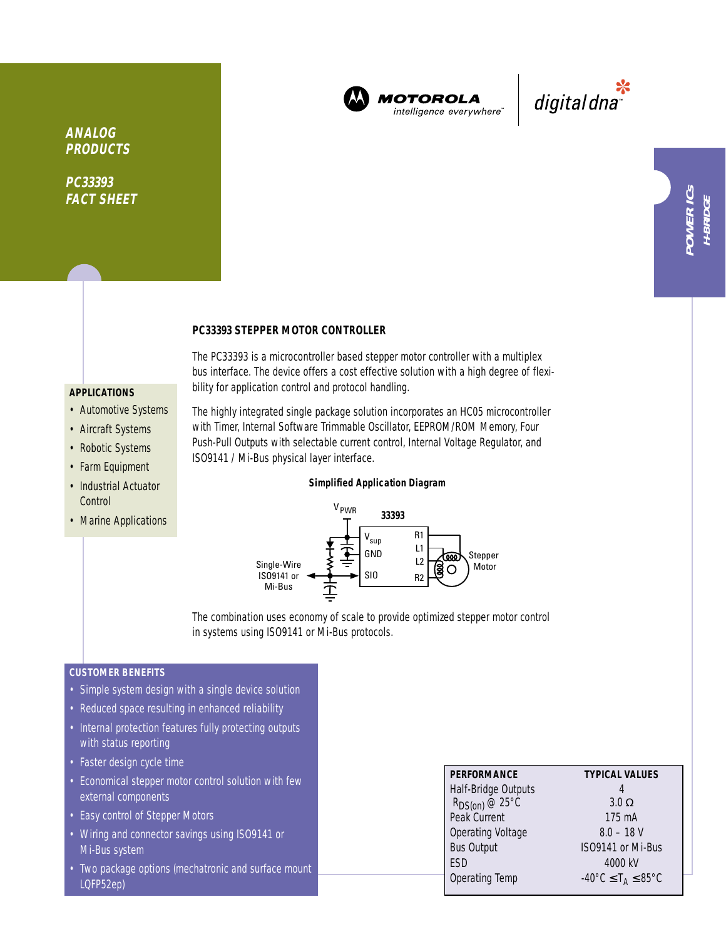

**MOTOROLA** intelligence everywhere"

\*<br>"digital dna

**ANALOG PRODUCTS**

**PC33393 FACT SHEET**

## **PC33393 STEPPER MOTOR CONTROLLER**

The PC33393 is a microcontroller based stepper motor controller with a multiplex bus interface. The device offers a cost effective solution with a high degree of flexibility for application control and protocol handling.

## **APPLICATIONS**

- Automotive Systems
- Aircraft Systems
- Robotic Systems
- Farm Equipment
- Industrial Actuator **Control**
- Marine Applications

The highly integrated single package solution incorporates an HC05 microcontroller with Timer, Internal Software Trimmable Oscillator, EEPROM/ROM Memory, Four Push-Pull Outputs with selectable current control, Internal Voltage Regulator, and ISO9141 / Mi-Bus physical layer interface.

## **Simplified Application Diagram**



The combination uses economy of scale to provide optimized stepper motor control in systems using ISO9141 or Mi-Bus protocols.

# **CUSTOMER BENEFITS**

- Simple system design with a single device solution
- Reduced space resulting in enhanced reliability
- Internal protection features fully protecting outputs with status reporting
- Faster design cycle time
- Economical stepper motor control solution with few external components
- Easy control of Stepper Motors
- Wiring and connector savings using ISO9141 or Mi-Bus system
- Two package options (mechatronic and surface mount LQFP52ep)

| <b>PERFORMANCE</b>             | <b>TYPICAL VALUES</b>                                        |
|--------------------------------|--------------------------------------------------------------|
| Half-Bridge Outputs            |                                                              |
| $R_{DS(0n)}$ @ 25 $^{\circ}$ C | $3.0 \Omega$                                                 |
| Peak Current                   | 175 mA                                                       |
| Operating Voltage              | $8.0 - 18$ V                                                 |
| <b>Bus Output</b>              | ISO9141 or Mi-Bus                                            |
| <b>FSD</b>                     | 4000 kV                                                      |
| Operating Temp                 | $-40^{\circ}$ C $\leq$ T <sub>A</sub> $\leq$ 85 $^{\circ}$ C |